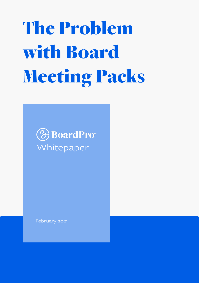The Problem with Board Meeting Packs



February 2021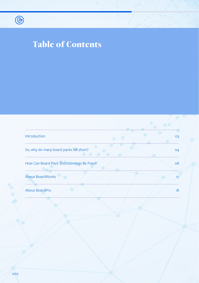

# Table of Contents

| Introduction                              | 03 |
|-------------------------------------------|----|
| So, why do many board packs fall short?   | 04 |
| How Can Board Pack Shortcomings Be Fixed? | 08 |
| <b>About BoardWorks</b>                   | 17 |
| About BoardPro                            | 18 |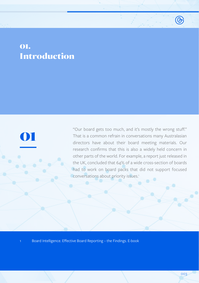# <span id="page-2-0"></span>01. Introduction

01

"Our board gets too much, and it's mostly the wrong stuff." That is a common refrain in conversations many Australasian directors have about their board meeting materials. Our research confirms that this is also a widely held concern in other parts of the world. For example, a report just released in the UK, concluded that 64% of a wide cross-section of boards had to work on board packs that did not support focused conversations about priority issues.<sup>1</sup>

1 Board Intelligence. Effective Board Reporting - the Findings. E-book

 $\circledR$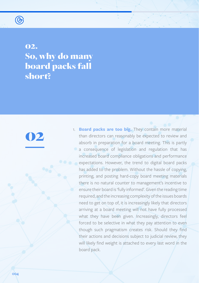<span id="page-3-0"></span>

02. So, why do many board packs fall short?

02

1. **Board packs are too big.** They contain more material than directors can reasonably be expected to review and absorb in preparation for a board meeting. This is partly a consequence of legislation and regulation that has increased board compliance obligations and performance expectations. However, the trend to digital board packs has added to the problem. Without the hassle of copying, printing, and posting hard-copy board meeting materials there is no natural counter to management's incentive to ensure their board is 'fully informed'. Given the reading time required, and the increasing complexity of the issues boards need to get on top of, it is increasingly likely that directors arriving at a board meeting will not have fully processed what they have been given. Increasingly, directors feel forced to be selective in what they pay attention to even though such pragmatism creates risk. Should they find their actions and decisions subject to judicial review, they will likely find weight is attached to every last word in the board pack.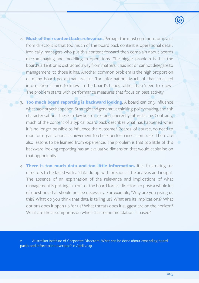- 2. **Much of their content lacks relevance.** Perhaps the most common complaint from directors is that too much of the board pack content is operational detail. Ironically, managers who put this content forward then complain about boards micromanaging and meddling in operations. The bigger problem is that the board's attention is distracted away from matters it has not or cannot delegate to management, to those it has. Another common problem is the high proportion of many board packs that are just 'for information'. Much of that so-called information is 'nice to know' in the board's hands rather than 'need to know'. The problem starts with performance measures that focus on past activity.
- 3. **Too much board reporting is backward looking**. A board can only influence what has not yet happened. Strategic and generative thinking, policy making, and risk characterisation – these are key board tasks and inherently future facing. Contrarily, much of the content of a typical board pack describes what has happened when it is no longer possible to influence the outcome.<sup>2</sup> Boards, of course, do need to monitor organisational achievement to check performance is on track. There are also lessons to be learned from experience. The problem is that too little of this backward looking reporting has an evaluative dimension that would capitalise on that opportunity.
- 4. **There is too much data and too little information.** It is frustrating for directors to be faced with a 'data dump' with precious little analysis and insight. The absence of an explanation of the relevance and implications of what management is putting in front of the board forces directors to pose a whole lot of questions that should not be necessary. For example, 'Why are you giving us this? What do you think that data is telling us? What are its implications? What options does it open up for us? What threats does it suggest are on the horizon? What are the assumptions on which this recommendation is based?

Australian Institute of Corporate Directors. What can be done about expanding board packs and information overload? 11 April 2019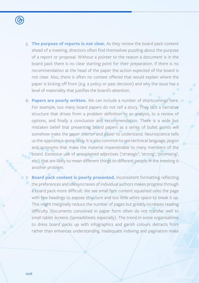

- 5. **The purpose of reports is not clear.** As they review the board pack content ahead of a meeting, directors often find themselves puzzling about the purpose of a report or proposal. Without a pointer to the reason a document is in the board pack there is no clear starting point for their preparation. If there is no recommendation at the head of the paper the action expected of the board is not clear. Also, there is often no context offered that would explain where the paper is kicking off from (e.g. a policy or past decision) and why the issue has a level of materiality that justifies the board's attention.
- 6. **Papers are poorly written.** We can include a number of shortcomings here. For example, too many board papers do not tell a story. They lack a narrative structure that drives from a problem definition to an analysis, to a review of options, and finally a conclusion and recommendation. There is a wide but mistaken belief that presenting board papers as a series of bullet points will somehow make the paper shorter and easier to understand. Neuroscience tells us the opposite is more likely. It is also common to see technical language, jargon and acronyms that make the material impenetrable to many members of the board. Excessive use of unexplained adjectives ('strategic', 'strong', 'promising', etc.) that are likely to mean different things to different people in the meeting is another problem.
- **12. Board pack content is poorly presented.** Inconsistent formatting reflecting the preferences and idiosyncrasies of individual authors makes progress through a board pack more difficult. We see small font content squashed onto the page with few headings to expose structure and too little white space to break it up. This might marginally reduce the number of pages but greatly increases reading difficulty. Documents conceived in paper form often do not transfer well to small tablet screens (spreadsheets especially). The trend in some organisations to dress board packs up with infographics and garish colours detracts from rather than enhances understanding. Inadequate indexing and pagination make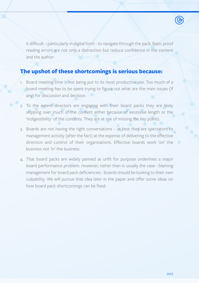it difficult – particularly in digital form - to navigate through the pack. Basic proof reading errors are not only a distraction but reduce confidence in the content and the author.

#### **The upshot of these shortcomings is serious because:**

- 1. Board meeting time is not being put to its most productive use. Too much of a board meeting has to be spent trying to figure out what are the main issues (if any) for discussion and decision.
- 2. To the extent directors are engaging with their board packs they are likely skipping over much of the content either because of excessive length or the 'indigestibility' of the contents. They are at risk of missing the key points.
- 3. Boards are not having the right conversations at best they are spectators to management activity (after the fact) at the expense of delivering to the effective direction and control of their organisations. Effective boards work 'on' the business not 'in' the business
- 4. That board packs are widely panned as unfit for purpose underlines a major board performance problem. However, rather than is usually the case - blaming management for board pack deficiencies - boards should be looking to their own culpability. We will pursue that idea later in the paper and offer some ideas on how board pack shortcomings can be fixed.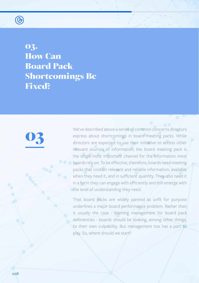<span id="page-7-0"></span>

03. **How Can** Board Pack Shortcomings Be Fixed?

# 03

We've described above a series of common concerns directors express about shortcomings in board meeting packs. While directors are expected to use their initiative to access other relevant sources of information, the board meeting pack is the single most important channel for the information most **C** boards rely on. To be effective, therefore, boards need meeting packs that contain relevant and reliable information, available when they need it, and in sufficient quantity. They also need it in a form they can engage with efficiently and still emerge with the level of understanding they need.

That board packs are widely panned as unfit for purpose underlines a major board performance problem. Rather than is usually the case - blaming management for board pack deficiencies - boards should be looking, among other things, to their own culpability. But management too has a part to play. So, where should we start?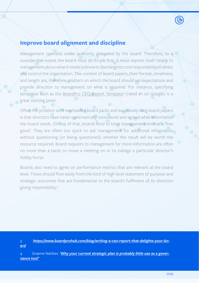#### **Improve board alignment and discipline**

Management operates under authority delegated by the board. Therefore, to a considerable extent the board must do its job first. It must express itself clearly to management about what it needs to know to discharge its core responsibility to direct and control the organisation. The content of board papers, their format, timeliness, and length are, therefore, matters on which the board should set expectations and provide direction to management on what is required. For instance, specifying templates such as the BoardPro CEO Report Template<sup>3</sup> (rated #1 on Google) is a great starting point.

Often the problem with overloaded board packs and excessively long board papers is that directors have never systematically considered and agreed what information the board needs. On top of that, boards tend to treat management time as a 'free good'. They are often too quick to ask management for additional information without questioning (or being questioned) whether the result will be worth the resource required. Board requests to management for more information are often no more than a tactic to move a meeting on or to indulge a particular director's hobby horse.

Boards also need to agree on performance metrics that are relevant at the board level. These should flow easily from the kind of high level statement of purpose and strategic outcomes that are fundamental to the board's fulfilment of its direction giving responsibility.4

3 *[https://www.boardprohub.com/blog/writing-a-ceo-report-that-delights-your-bo](https://www.boardprohub.com/blog/writing-a-ceo-report-that-delights-your-board)[ard](https://www.boardprohub.com/blog/writing-a-ceo-report-that-delights-your-board)*

Graeme Nahkies. *'Why your current strategic plan is probably little use as a gover[nance tool'](http://‘Why your current strategic plan is probably little use as a governance tool’)*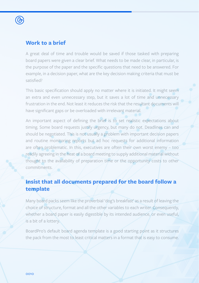

#### **Work to a brief**

A great deal of time and trouble would be saved if those tasked with preparing board papers were given a clear brief. What needs to be made clear, in particular, is the purpose of the paper and the specific questions that need to be answered. For example, in a decision paper, what are the key decision making criteria that must be satisfied?

This basic specification should apply no matter where it is initiated. It might seem an extra and even unnecessary step, but it saves a lot of time and unnecessary frustration in the end. Not least it reduces the risk that the resultant documents will have significant gaps or be overloaded with irrelevant material.

An important aspect of defining the brief is to set realistic expectations about timing. Some board requests justify urgency, but many do not. Deadlines can and should be negotiated. This is not usually a problem with important decision papers and routine monitoring reports but ad hoc requests for additional information are often problematic. In this, executives are often their own worst enemy – too readily agreeing in the heat of a board meeting to supply additional material without thought to the availability of preparation time or the opportunity costs to other commitments.

#### **Insist that all documents prepared for the board follow a template**

Many board packs seem like the proverbial 'dog's breakfast' as a result of leaving the choice of structure, format and all the other variables to each writer. Consequently, whether a board paper is easily digestible by its intended audience, or even useful, is a bit of a lottery.

BoardPro's default board agenda template is a good starting point as it structures the pack from the most to least critical matters in a format that is easy to consume.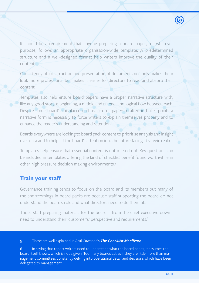It should be a requirement that anyone preparing a board paper, for whatever purpose, follows an appropriate organisation-wide template. A predetermined structure and a well-designed format help writers improve the quality of their content.

Consistency of construction and presentation of documents not only makes them look more professional but makes it easier for directors to read and absorb their content.

Templates also help ensure board papers have a proper narrative structure with, like any good story, a beginning, a middle and an end, and logical flow between each. Despite some board's misplaced enthusiasm for papers drafted in bullet points a narrative form is necessary to force writers to explain themselves properly and to enhance the reader's understanding and retention.

Boards everywhere are looking to board pack content to prioritise analysis and insight over data and to help lift the board's attention into the future-facing, strategic realm.

Templates help ensure that essential content is not missed out. Key questions can be included in templates offering the kind of checklist benefit found worthwhile in other high pressure decision making environments.5

#### **Train your staff**

Governance training tends to focus on the board and its members but many of the shortcomings in board packs are because staff supporting the board do not understand the board's role and what directors need to do their job.

Those staff preparing materials for the board – from the chief executive down need to understand their 'customer's' perspective and requirements.<sup>6</sup>

#### 5 These are well explained in Atul Gawande's *[The Checklist Manifesto](http://atulgawande.com/book/the-checklist-manifesto/)*

In saying that report writers need to understand what the board needs, it assumes the board itself knows, which is not a given. Too many boards act as if they are little more than management committees constantly delving into operational detail and decisions which have been delegated to management.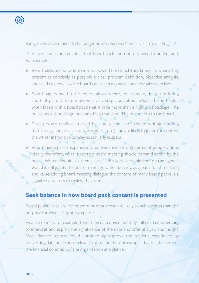

Sadly, many of also need to be taught how to express themselves in 'plain English'.

There are some fundamentals that board pack contributors need to understand, For example:

- Board packs are not where writers show off how much they know. It is where they present as concisely as possible a clear problem definition, objective analysis, and valid evidence, so the board can reach a conclusion and make a decision.
- Board papers need to be honest about where, for example, things are falling short of plan. Directors become very suspicious about what is being hidden when faced with a board pack that is little more than a highlights package. The board pack should sign-post anything that should be of concern to the board.
- Directors are easily distracted by clumsy and error ridden writing (spelling mistakes, grammatical errors, wordiness, etc.) and are likely to judge the content the writer is trying to convey as similarly suspect.
- Board meetings are expensive to convene even if only terms of people's time. Ideally, therefore, what is put to a board meeting should demand action by the board. Writers should ask themselves 'if this were the only item on the agenda would it still justify the board meeting?' Unfortunately, as a basis for stimulating and value adding board meeting dialogue the content of many board packs is a signal to directors to review their e-mail.

#### **Seek balance in how board pack content is presented**

Board papers that are either word or data dense are likely to achieve less than the purpose for which they are prepared.

Finance reports, for example, tend to be data driven but they still need commentary to interpret and explain the significance of the data and offer analysis and insight. Most finance reports could considerably improve the reader's experience by converting data points into relevant ratios and then into graphs that tell the story of the financial condition of the organisation at a glance.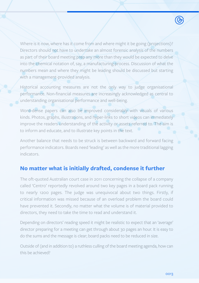Where is it now, where has it come from and where might it be going (projections)? Directors should not have to undertake an almost forensic analysis of the numbers as part of their board meeting prep any more than they would be expected to delve into the chemical notation of, say, a manufacturing process. Discussion of what the numbers mean and where they might be leading should be discussed but starting with a management-provided analysis.

Historical accounting measures are not the only way to judge organisational performance. Non-financial measures are increasingly acknowledged as central to understanding organisational performance and well-being.

Word-dense papers can also be improved considerably with visuals of various kinds. Photos, graphs, illustrations, and hyper-links to short videos can immediately improve the readers understanding of the activity or assets referred to. The aim is to inform and educate, and to illustrate key points in the text.

Another balance that needs to be struck is between backward and forward facing performance indicators. Boards need 'leading' as well as the more traditional lagging indicators.

#### **No matter what is initially drafted, condense it further**

The oft-quoted Australian court case in 2011 concerning the collapse of a company called 'Centro' reportedly revolved around two key pages in a board pack running to nearly 1200 pages. The judge was unequivocal about two things. Firstly, if critical information was missed because of an overload problem the board could have prevented it. Secondly, no matter what the volume is of material provided to directors, they need to take the time to read and understand it.

Depending on directors' reading speed it might be realistic to expect that an 'average' director preparing for a meeting can get through about 30 pages an hour. It is easy to do the sums and the message is clear; board packs need to be reduced in size.

Outside of (and in addition to) a ruthless culling of the board meeting agenda, how can this be achieved?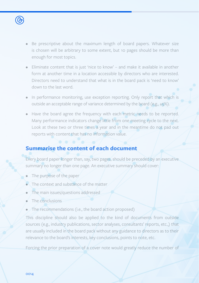

- Be prescriptive about the maximum length of board papers. Whatever size is chosen will be arbitrary to some extent, but 10 pages should be more than enough for most topics.
- Eliminate content that is just 'nice to know' and make it available in another form at another time in a location accessible by directors who are interested. Directors need to understand that what is in the board pack is 'need to know' down to the last word.
- In performance monitoring, use exception reporting. Only report that which is outside an acceptable range of variance determined by the board (e.g.,  $\pm 5\%$ ).
- Have the board agree the frequency with each metric needs to be reported. Many performance indicators change little from one meeting cycle to the next. Look at these two or three times a year and in the meantime do not pad out reports with content that has no information value.

#### **Summarise the content of each document**

Every board paper longer than, say, two pages, should be preceded by an executive summary no longer than one page. An executive summary should cover:

- The purpose of the paper
- The context and substance of the matter
- The main issues/questions addressed
- The conclusions
- The recommendations (i.e., the board action proposed)

This discipline should also be applied to the kind of documents from outside sources (e.g., industry publications, sector analyses, consultants' reports, etc.,) that are usually included in the board pack without any guidance to directors as to their relevance to the board's interests, key conclusions, points to note, etc.

Forcing the prior preparation of a cover note would greatly reduce the number of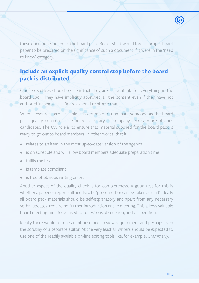these documents added to the board pack. Better still it would force a proper board paper to be prepared on the significance of such a document if it were in the 'need to know' category.

#### **Include an explicit quality control step before the board pack is distributed**

Chief Executives should be clear that they are accountable for everything in the board pack. They have implicitly approved all the content even if they have not authored it themselves. Boards should reinforce that.

Where resources are available it is desirable to nominate someone as the board pack quality controller. The board secretary or company secretary are obvious candidates. The QA role is to ensure that material supplied for the board pack is ready to go out to board members. In other words, that it:

- relates to an item in the most up-to-date version of the agenda
- is on schedule and will allow board members adequate preparation time
- fulfils the brief
- is template compliant
- is free of obvious writing errors

Another aspect of the quality check is for completeness. A good test for this is whether a paper or report still needs to be 'presented' or can be 'taken as read'. Ideally all board pack materials should be self-explanatory and apart from any necessary verbal updates, require no further introduction at the meeting. This allows valuable board meeting time to be used for questions, discussion, and deliberation.

Ideally there would also be an inhouse peer review requirement and perhaps even the scrutiny of a separate editor. At the very least all writers should be expected to use one of the readily available on-line editing tools like, for example, *Grammarly*.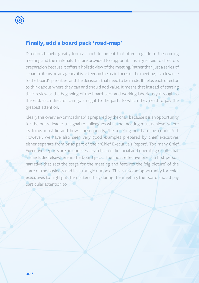

#### **Finally, add a board pack 'road-map'**

Directors benefit greatly from a short document that offers a guide to the coming meeting and the materials that are provided to support it. It is a great aid to directors preparation because it offers a holistic view of the meeting. Rather than just a series of separate items on an agenda it is a steer on the main focus of the meeting, its relevance to the board's priorities, and the decisions that need to be made. It helps each director to think about where they can and should add value. It means that instead of starting their review at the beginning of the board pack and working laboriously through to the end, each director can go straight to the parts to which they need to pay the greatest attention.

Ideally this overview or 'roadmap' is prepared by the chair because it is an opportunity for the board leader to signal to colleagues what the meeting must achieve, where its focus must lie and how, consequently, the meeting needs to be conducted. However, we have also seen very good examples prepared by chief executives either separate from or as part of their 'Chief Executive's Report'. Too many Chief Executive Reports are an unnecessary rehash of financial and operating results that are included elsewhere in the board pack. The most effective one is a first person narrative that sets the stage for the meeting and features the 'big picture' of the state of the business and its strategic outlook. This is also an opportunity for chief executives to highlight the matters that, during the meeting, the board should pay particular attention to.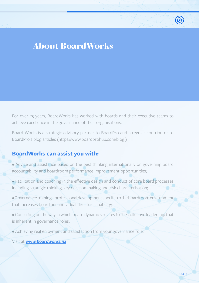# <span id="page-16-0"></span>About BoardWorks

For over 25 years, BoardWorks has worked with boards and their executive teams to achieve excellence in the governance of their organisations.

Board Works is a strategic advisory partner to BoardPro and a regular contributor to BoardPro's blog articles (https://www.boardprohub.com/blog )

#### **BoardWorks can assist you with:**

- Advice and assistance based on the best thinking internationally on governing board accountability and boardroom performance improvement opportunities;
- Facilitation and coaching in the effective design and conduct of core board processes including strategic thinking, key decision making and risk characterisation;
- Governance training professional development specific to the boardroom environment that increases board and individual director capability;
- Consulting on the way in which board dynamics relates to the collective leadership that is inherent in governance roles;
- Achieving real enjoyment and satisfaction from your governance role.
- Visit at *[www.boardworks.nz](http://www.boardworks.nz)*